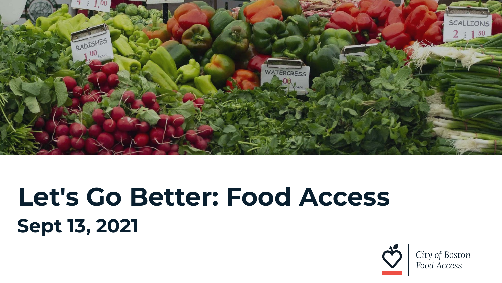

# **Sept 13, 2021 Let's Go Better: Food Access**

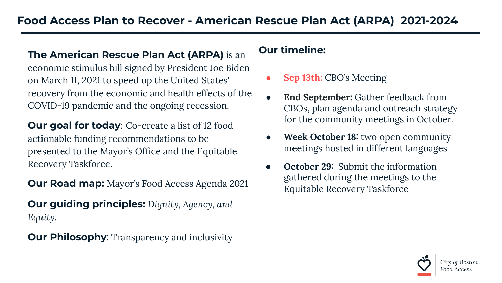## **The American Rescue Plan Act (ARPA)** is an economic stimulus bill signed by President Joe Biden on March 11, 2021 to speed up the United States' recovery from the economic and health effects of the COVID-19 pandemic and the ongoing recession.

**Our goal for today:** Co-create a list of 12 food actionable funding recommendations to be presented to the Mayor's Office and the Equitable Recovery Taskforce.

**Our Road map:** Mayor's Food Access Agenda 2021

**Our guiding principles:** *Dignity, Agency, and Equity.* 

**Our Philosophy:** Transparency and inclusivity

#### **Our timeline:**

- **● Sep 13th:** CBO's Meeting
- **● End September:** Gather feedback from CBOs, plan agenda and outreach strategy for the community meetings in October.
- **Week October 18:** two open community meetings hosted in different languages
- **October 29:** Submit the information gathered during the meetings to the Equitable Recovery Taskforce

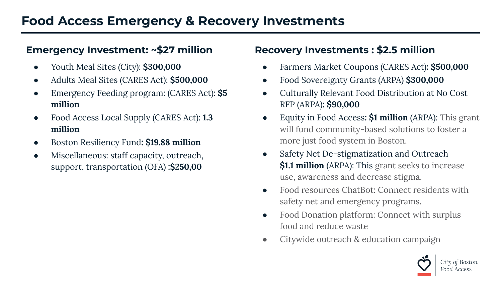### **Emergency Investment: ~\$27 million**

- **●** Youth Meal Sites (City): **\$300,000**
- **●** Adults Meal Sites (CARES Act): **\$500,000**
- **●** Emergency Feeding program: (CARES Act): **\$5 million**
- Food Access Local Supply (CARES Act): **1.3 million**
- **●** Boston Resiliency Fund**: \$19.88 million**
- **●** Miscellaneous: staff capacity, outreach, support, transportation (OFA) **:\$250,00**

#### **Recovery Investments : \$2.5 million**

- **●** Farmers Market Coupons (CARES Act)**: \$500,000**
- Food Sovereignty Grants (ARPA) **\$300,000**
- Culturally Relevant Food Distribution at No Cost RFP (ARPA)**: \$90,000**
- Equity in Food Access**: \$1 million** (ARPA): This grant will fund community-based solutions to foster a more just food system in Boston.
- Safety Net De-stigmatization and Outreach **\$1.1 million** (ARPA): This grant seeks to increase use, awareness and decrease stigma.
- Food resources ChatBot: Connect residents with safety net and emergency programs.
- Food Donation platform: Connect with surplus food and reduce waste
- Citywide outreach & education campaign